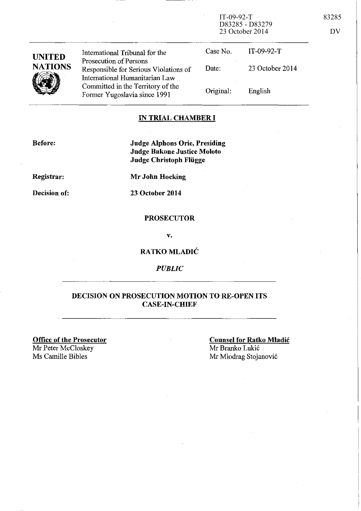IT-09-92-T 83285 D83285 - D83279 23 October 2014 DV

| <b>UNITED</b><br><b>NATIONS</b> | International Tribunal for the<br>Prosecution of Persons<br>Responsible for Serious Violations of   | Case No.<br>Date: | IT-09-92-T<br>23 October 2014 |
|---------------------------------|-----------------------------------------------------------------------------------------------------|-------------------|-------------------------------|
|                                 | International Humanitarian Law<br>Committed in the Territory of the<br>Former Yugoslavia since 1991 | Original:         | English                       |

### **IN TRIAL CHAMBER I**

**Before:** 

**Judge Alphons Orie, Presiding Judge Bakone Justice Moloto Judge Christoph Fliigge** 

**Registrar:** 

**Mr John Hocking** 

**Decision of:** 

**23 October 2014** 

### **PROSECUTOR**

v.

### **RATKO MLADIC**

*PUBLIC* 

### **DECISION ON PROSECUTION MOTION TO RE-OPEN ITS CASE-IN-CHIEF**

**Office of the Prosecutor**  Mr Peter McCloskey<br>Ms Camille Bibles

**Counsel for Ratko Mladic**  Mr Branko Lukic Mr Miodrag Stojanović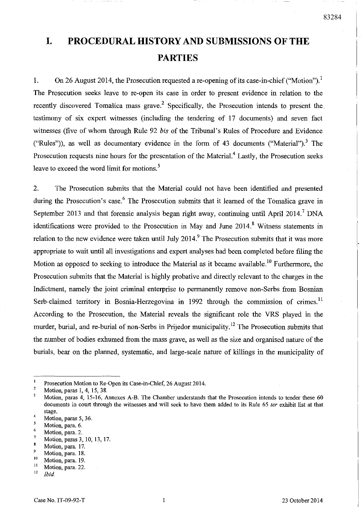# **I. PROCEDURAL HISTORY AND SUBMISSIONS OF THE PARTIES**

1. On 26 August 2014, the Prosecution requested a re-opening of its case-in-chief ("Motion").<sup>1</sup> The Prosecution seeks leave to re-open its case in order to present evidence in relation to the recently discovered Tomašica mass grave.<sup>2</sup> Specifically, the Prosecution intends to present the testimony of six expert witnesses (including the tendering of 17 documents) and seven fact witnesses (five of whom through Rule 92 *bis* of the Tribunal's Rules of Procedure and Evidence ("Rules")), as well as documentary evidence in the form of 43 documents ("Material").<sup>3</sup> The Prosecution requests nine hours for the presentation of the Material.<sup>4</sup> Lastly, the Prosecution seeks leave to exceed the word limit for motions. 5

2. The Prosecution submits that the Material could not have been identified and presented during the Prosecution's case.<sup>6</sup> The Prosecution submits that it learned of the Tomašica grave in September 2013 and that forensic analysis began right away, continuing until April 2014.<sup>7</sup> DNA identifications were provided to the Prosecution in May and June  $2014<sup>8</sup>$  Witness statements in relation to the new evidence were taken until July 2014.<sup>9</sup> The Prosecution submits that it was more appropriate to wait until all investigations and expert analyses had been completed before filing the Motion as opposed to seeking to introduce the Material as it became available.<sup>10</sup> Furthermore, the Prosecution submits that the Material is highly probative and directly relevant to the charges in the Indictment, namely the joint criminal enterprise to permanently remove non-Serbs from Bosnian Serb-claimed territory in Bosnia-Herzegovina in 1992 through the commission of crimes.<sup>11</sup> According to the Prosecution, the Material reveals the significant role the VRS played in the murder, burial, and re-burial of non-Serbs in Prijedor municipality.<sup>12</sup> The Prosecution submits that the number of bodies exhumed from the mass grave, as well as the size and organised nature of the burials, bear on the planned, systematic, and large-scale nature of killings in the municipality of

 $\frac{5}{6}$  Motion, para. 6.

 $\pmb{\downarrow}$ Prosecution Motion to Re-Open its Case-in-Chief, 26 Augnst 2014.

 $\frac{2}{3}$  Motion, paras 1, 4, 15, 38.

Motion, paras 4, 15-16, Annexes A-B. The Chamber understands that the Prosecution intends to tender these 60 documents in court through the witnesses and will seek to have them added to its Rule 65 *ter* exhibit list at that stage.

 $\frac{4}{5}$  Motion, paras 5, 36.

 $\frac{6}{7}$  Motion, para. 2.

 $\frac{7}{8}$  Motion, paras 3, 10, 13, 17.

Motion, para. 17.

 $^{9}$  Motion, para. 18.

 $\frac{10}{11}$  Motion, para. 19.

 $\frac{11}{12}$  Motion, para. 22.

*<sup>12</sup> Ibid.*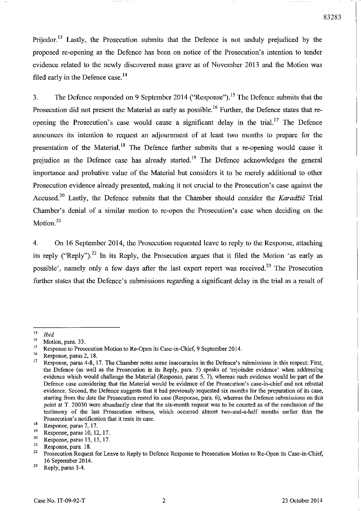83283

Prijedor.<sup>13</sup> Lastly, the Prosecution submits that the Defence is not unduly prejudiced by the proposed re-opening as the Defence has been on notice of the Prosecution's intention to tender evidence related to the newly discovered mass grave as of November 2013 and the Motion was filed early in the Defence case.<sup>14</sup>

3. The Defence responded on 9 September 2014 ("Response").<sup>15</sup> The Defence submits that the Prosecution did not present the Material as early as possible.<sup>16</sup> Further, the Defence states that reopening the Prosecution's case would cause a significant delay in the trial.<sup>17</sup> The Defence announces its intention to request an adjournment of at least two months to prepare for the presentation of the Material.<sup>18</sup> The Defence further submits that a re-opening would cause it prejudice as the Defence case has already started.<sup>19</sup> The Defence acknowledges the general importance and probative value of the Material but considers it to be merely additional to other Prosecution evidence already presented, making it not crucial to the Prosecution's case against the Accused.<sup>20</sup> Lastly, the Defence submits that the Chamber should consider the *Karadžić* Trial Chamber's denial of a similar motion to re-open the Prosecution's case when deciding on the Motion.<sup>21</sup>

4. On 16 September 2014, the Prosecution requested leave to reply to the Response, attaching its reply ("Reply").<sup>22</sup> In its Reply, the Prosecution argues that it filed the Motion 'as early as possible', namely only a few days after the last expert report was received.<sup>23</sup> The Prosecution further states that the Defence's submissions regarding a significant delay in the trial as a result of

**16 Response, paras 2, 18.** 

 $\frac{13}{14}$  *Ibid*.

**<sup>14</sup> Motion, para. 33.** 

<sup>&</sup>lt;sup>15</sup> Response to Prosecution Motion to Re-Open its Case-in-Chief, 9 September 2014.

**<sup>17</sup> Response, paras 4-8, 17. The Chamber notes some inaccuracies in the Defence's submissions in this respect: First,**  the Defence (as well as the Prosecution in its Reply, para. 5) speaks of 'rejoinder evidence' when addressing evidence which would challenge the Material (Response, paras 5, 7), whereas such evidence would be part of the Defence case considering that the Material would be evidence of the Prosecution's case-in-chief and not rebuttal evidence. Second, the Defence suggests that it had previously requested six months for the preparation of its case, starting from the date the Prosecution rested its case (Response, para. 6), whereas the Defence submissions on this point at T. 20030 were abundantly clear that the six-month request was to be counted as of the conclusion of the testimony of the last Prosecution witness, which occurred ahnost two-and-a-half months earlier than the **Prosecution's notification that it rests its case.** 

**<sup>18</sup> Response, paras 7, 17.** 

<sup>&</sup>lt;sup>19</sup> Response, paras 10, 12, 17.<br><sup>20</sup> Prancisco paras 12, 15, 17.

 $\frac{20}{21}$  Response, paras 13, 15, 17.

 $\frac{21}{22}$  Response, para. 18.

<sup>22</sup> Prosecution Request for Leave to Reply to Defence Response to Prosecution Motion to Re-Open its Case-in-Chief, 16 September 2014.

 $23$  Reply, paras 3-4.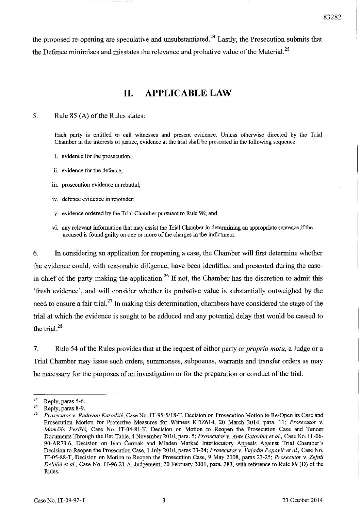the proposed re-opening are speculative and unsubstantiated.<sup>24</sup> Lastly, the Prosecution submits that the Defence minimises and misstates the relevance and probative value of the Material.<sup>25</sup>

# **II. APPLICABLE LAW**

5. Rule 85 (A) of the Rules states:

Each party is entitled to call witnesses and present evidence. Unless otherwise directed by the Trial Chamber in the interests of justice, evidence at the trial shall be presented in the following sequence:

- **i. evidence for the prosecution;**
- **ii. evidence for the defence;**
- **iii. prosecution evidence in rebuttal;**
- **iv. defence evidence in rejoinder;**
- v. evidence ordered by the Trial Chamber pursuant to Rule 98; and
- vi. any relevant infonnation that may assist the Trial Chamber in determining an appropriate sentence ifthe accused is found guilty on one or more of the charges in the indictment.

6. **In** considering an application for reopening a case, the Chamber will first determine whether the evidence could, with reasonable diligence, have been identified and presented during the casein-chief of the party making the application.<sup>26</sup> If not, the Chamber has the discretion to admit this 'fresh evidence', and will consider whether its probative value is substantially outweighed by the need to ensure a fair trial.<sup>27</sup>**In** making this determination, chambers have considered the stage of the trial at which the evidence is sought to be adduced and any potential delay that would be caused to the trial.<sup>28</sup>

7. Rule 54 of the Rules provides that at the request of either party or *proprio motu*, a Judge or a Trial Chamber may issue such orders, summonses, subpoenas, warrants and transfer orders as may be necessary for the purposes of an investigation or for the preparation or conduct of the trial.

 $\frac{24}{25}$  Reply, paras 5-6.

<sup>&</sup>lt;sup>25</sup> Reply, paras 8-9.

*<sup>26</sup> Prosecutor* v. *Radovan Karadiic,* Case No. IT-95-5/18-T, Decision on Prosecution Motion to Re-Open its Case and Prosecution Motion for Protective Measures for Witness KDZ614, 20 March 2014, para. 11; *Prosecutor* v. *Momčilo Perišić*, Case No. IT-04-81-T, Decision on Motion to Reopen the Prosecution Case and Tender Docmnents Through the Bar Table, 4 November 2010, para. 5; *Prosecutor* v. *Ante Gotovina et al.,* Case No. IT-06- 90-AR73.6, Decision on Ivan Cermak and Mladen Markac Interlocutory Appeals Against Trial Chamber's Decision to Reopen the Prosecution Case, I July 2010, paras 23-24; *Prosecutor* v. *Vujadin Popovic et al.,* Case No. IT-05-88-T, Decision on Motion to Reopen the Prosecution Case, 9 May 2008, paras 23-25; *Prosecutor* v. *Zejnil Delalic et aI.,* Case No. IT-96-21-A, Judgement, 20 February 2001, para. 283, with reference to Rule 89 (D) of the Rules.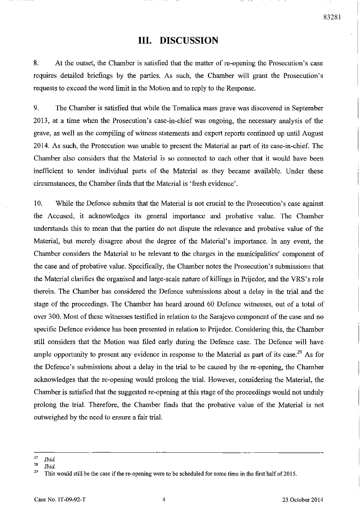## **III. DISCUSSION**

8. At the outset, the Chamber is satisfied that the matter of re-opening the Prosecution's case requires detailed briefings by the parties. As such, the Chamber will grant the Prosecution's requests to exceed the word limit in the Motion and to reply to the Response.

9. The Chamber is satisfied that while the Tomasica mass grave was discovered in September 2013, at a time when the Prosecution's case-in-chief was ongoing, the necessary analysis of the grave, as well as the compiling of witness statements and expert reports continued up until August 2014. As such, the Prosecution was unable to present the Material as part of its case-in-chief. The Chamber also considers that the Material is so connected to each other that it would have been inefficient to tender individual parts of the Material as they became available. Under these circumstances, the Chamber finds that the Material is 'fresh evidence'.

10. While the Defence submits that the Material is not crucial to the Prosecution's case against the Accused, it acknowledges its general importance and probative value. The Chamber understands this to mean that the parties do not dispute the relevance and probative value of the Material, but merely disagree about the degree of the Material's importance. In any event, the Chamber considers the Material to be relevant to the charges in the municipalities' component of the case and of probative value. Specifically, the Chamber notes the Prosecution's submissions that the Material clarifies the organised and large-scale nature of killings in Prijedor, and the VRS's role therein. The Chamber has considered the Defence submissions about a delay in the trial and the stage of the proceedings. The Chamber has heard around 60 Defence witnesses, out of a total of over 300. Most of these witnesses testified in relation to the Sarajevo component of the case and no specific Defence evidence has been presented in relation to Prijedor. Considering this, the Chamber still considers that the Motion was filed early during the Defence case. The Defence will have ample opportunity to present any evidence in response to the Material as part of its case.<sup>29</sup> As for the Defence's submissions about a delay in the trial to be caused by the re-opening, the Chamber acknowledges that the re-opening would prolong the trial. However, considering the Material, the Chamber is satisfied that the suggested re-opening at this stage of the proceedings would not unduly prolong the trial. Therefore, the Chamber finds that the probative value of the Material is not outweighed by the need to ensure a fair trial.

*<sup>27</sup> Ibid* 

*<sup>28</sup> Ibid* 

<sup>&</sup>lt;sup>29</sup> This would still be the case if the re-opening were to be scheduled for some time in the first half of 2015.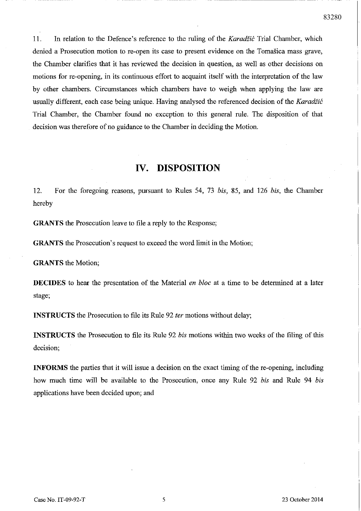------------------ ----

11. In relation to the Defence's reference to the ruling of the *Karadiic* Trial Chamber, which denied a Prosecution motion to re-open its case to present evidence on the Tomašica mass grave, the Chamber clarifies that it has reviewed the decision in question, as well as other decisions on motions for re-opening, in its continuous effort to acquaint itself with the interpretation of the law by other chambers. Circumstances which chambers have to weigh when applying the law are usually different, each case being unique. Having analysed the referenced decision of the *Karadiic*  Trial Chamber, the Chamber found no exception to this general rule. The disposition of that decision was therefore of no guidance to the Chamber in deciding the Motion.

### **IV. DISPOSITION**

12. For the foregoing reasons, pursuant to Rules 54, 73 *bis,* 85, and 126 *bis,* the Chamber hereby

**GRANTS** the Prosecution leave to file a reply to the Response;

**GRANTS** the Prosecution's request to exceed the word limit in the Motion;

**GRANTS** the Motion;

**DECIDES** to hear the presentation of the Material *en bloc* at a time to be determined at a later stage;

**INSTRUCTS** the Prosecution to file its Rule 92 *ter* motions without delay;

**INSTRUCTS** the Prosecution to file its Rule 92 *bis* motions within two weeks of the filing of this decision;

**INFORMS** the parties that it will issue a decision on the exact timing of the re-opening, including how much time will be available to the Prosecution, once any Rule 92 *bis* and Rule 94 *bis*  applications have been decided upon; and